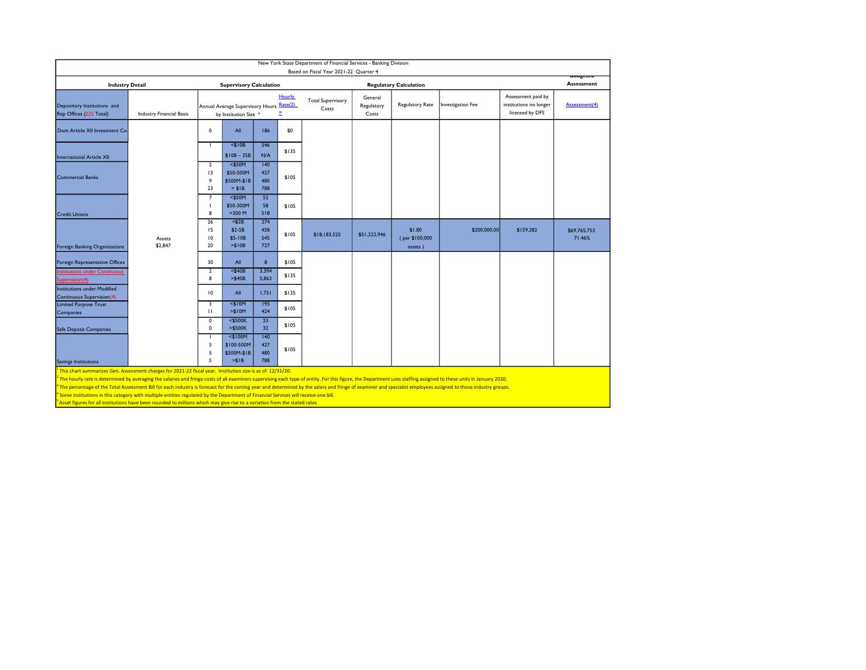| New York State Department of Financial Services - Banking Division<br>Based on Fiscal Year 2021-22 Quarter 4   |                                 |                                                                                     |                                                    |                          |       |                                   |                                |                                     |                   |                                                                 |                               |
|----------------------------------------------------------------------------------------------------------------|---------------------------------|-------------------------------------------------------------------------------------|----------------------------------------------------|--------------------------|-------|-----------------------------------|--------------------------------|-------------------------------------|-------------------|-----------------------------------------------------------------|-------------------------------|
| <b>Industry Detail</b>                                                                                         |                                 | <b>Supervisory Calculation</b>                                                      |                                                    |                          |       | <b>Regulatory Calculation</b>     |                                |                                     |                   |                                                                 | ouugeteu<br><b>Assessment</b> |
| Depository Institutions and<br>Rep Offices (225 Total)                                                         | <b>Industry Financial Basis</b> | Hourly<br>Rate(2)<br>Annual Average Supervisory Hours<br>Ξ<br>by Institution Size * |                                                    |                          |       | <b>Total Supervisory</b><br>Costs | General<br>Regulatory<br>Costs | Regulatory Rate                     | Investigation Fee | Assessment paid by<br>institutions no longer<br>licensed by DFS | Assessment(4)                 |
| Dom Article XII Investment Co                                                                                  |                                 | $\mathbf 0$                                                                         | All                                                | 186                      | \$0   |                                   |                                |                                     |                   |                                                                 |                               |
| International Article XII                                                                                      |                                 |                                                                                     | $<$ \$10B<br>$$10B - 35B$                          | 546<br>N/A               | \$135 |                                   |                                |                                     |                   |                                                                 |                               |
| <b>Commercial Banks</b>                                                                                        |                                 | $\overline{2}$<br>13<br>9<br>23                                                     | $<$ \$50M<br>\$50-500M<br>\$500M-\$1B<br>> \$IB    | 140<br>427<br>480<br>788 | \$105 |                                   |                                |                                     |                   |                                                                 |                               |
| <b>Credit Unions</b>                                                                                           |                                 | $\overline{7}$<br>8                                                                 | $<$ \$50M<br>\$50-300M<br>$>300$ M                 | 52<br>58<br>518          | \$105 |                                   |                                |                                     |                   |                                                                 |                               |
| Foreign Banking Organizations                                                                                  | Assets<br>\$2,847               | 26<br>15<br>10<br>20                                                                | $<$ \$2B<br>$$2-5B$<br>\$5-10B<br>> \$10B          | 274<br>458<br>545<br>727 | \$105 | \$18,183,525                      | \$51,222,946                   | \$1.80<br>(per \$100,000<br>assets) | \$200,000,00      | \$159,282                                                       | \$69,765,753<br>71.46%        |
| Foreign Representative Offices                                                                                 |                                 | 30                                                                                  | All                                                | 8                        | \$105 |                                   |                                |                                     |                   |                                                                 |                               |
| nstitutions under Continuous<br>Supervision(4)                                                                 |                                 | $\overline{2}$<br>8                                                                 | $<$ \$40B<br>> \$40B                               | 3,394<br>5,863           | \$135 |                                   |                                |                                     |                   |                                                                 |                               |
| <b>Institutions under Modified</b><br><b>Continuous Supervision(4)</b>                                         |                                 | $\overline{10}$                                                                     | All                                                | 1,751                    | \$135 |                                   |                                |                                     |                   |                                                                 |                               |
| <b>Limited Purpose Trust</b><br>Companies                                                                      |                                 | 3<br>$\mathbf{H}$                                                                   | $<$ \$10M<br>> \$10M                               | 195<br>424               | \$105 |                                   |                                |                                     |                   |                                                                 |                               |
| Safe Deposit Companies                                                                                         |                                 | $\mathbf 0$<br>$\mathbf 0$                                                          | $<$ \$500K<br>$>$ \$500K                           | $\overline{23}$<br>32    | \$105 |                                   |                                |                                     |                   |                                                                 |                               |
| Savings Institutions                                                                                           |                                 | 5<br>5<br>5                                                                         | $<$ \$100M<br>\$100-500M<br>\$500M-\$1B<br>$>$ SIB | 140<br>427<br>480<br>788 | \$105 |                                   |                                |                                     |                   |                                                                 |                               |
| $1$ This chart summarizes Gen. Assessment charges for 2021-22 fiscal year. Institution size is as of 12/31/20. |                                 |                                                                                     |                                                    |                          |       |                                   |                                |                                     |                   |                                                                 |                               |

<sup>2</sup> The hourly rate is determined by averaging the salaries and fringe costs of all examiners supervising each type of entity. For this figure, the Department uses staffing assigned to these units in January 2020.

<sup>3</sup> The percentage of the Total Assessment Bill for each industry is forecast for the coming year and determined by the salary and fringe of examiner and specialist employees assigned to those industry groups.

<sup>4</sup> Some institutions in this category with multiple entities regulated by the Department of Financial Services will receive one bill.

Asset figures for all institutions have been rounded to millions which may give rise to a variation from the stated rates